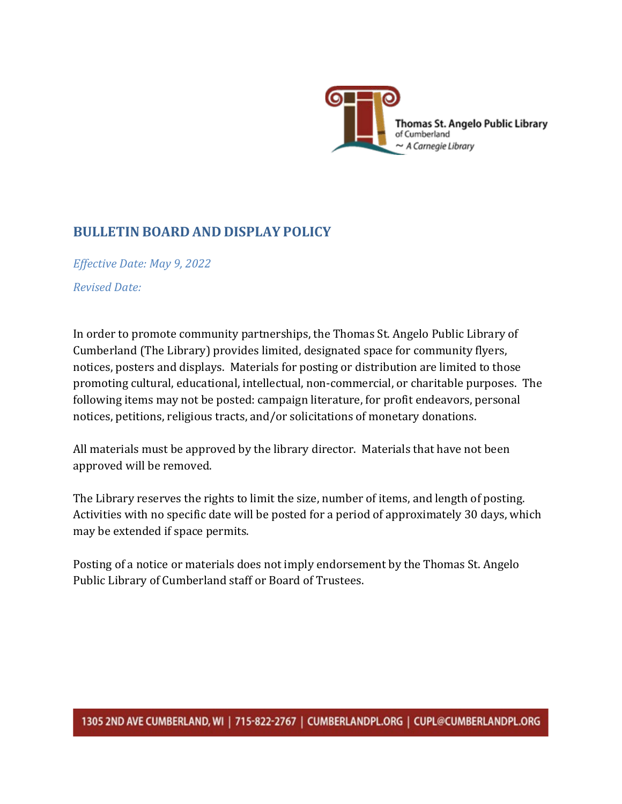

## **BULLETIN BOARD AND DISPLAY POLICY**

*Effective Date: May 9, 2022 Revised Date:*

In order to promote community partnerships, the Thomas St. Angelo Public Library of Cumberland (The Library) provides limited, designated space for community flyers, notices, posters and displays. Materials for posting or distribution are limited to those promoting cultural, educational, intellectual, non-commercial, or charitable purposes. The following items may not be posted: campaign literature, for profit endeavors, personal notices, petitions, religious tracts, and/or solicitations of monetary donations.

All materials must be approved by the library director. Materials that have not been approved will be removed.

The Library reserves the rights to limit the size, number of items, and length of posting. Activities with no specific date will be posted for a period of approximately 30 days, which may be extended if space permits.

Posting of a notice or materials does not imply endorsement by the Thomas St. Angelo Public Library of Cumberland staff or Board of Trustees.